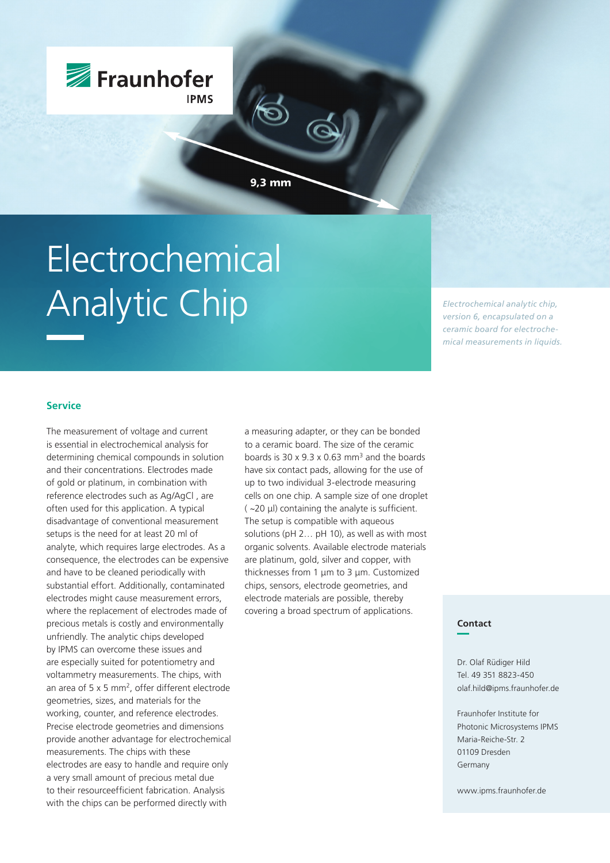

## Electrochemical Analytic Chip

 $9,3$  mm

*Electrochemical analytic chip, version 6, encapsulated on a ceramic board for electrochemical measurements in liquids.*

## **Service**

The measurement of voltage and current is essential in electrochemical analysis for determining chemical compounds in solution and their concentrations. Electrodes made of gold or platinum, in combination with reference electrodes such as Ag/AgCl , are often used for this application. A typical disadvantage of conventional measurement setups is the need for at least 20 ml of analyte, which requires large electrodes. As a consequence, the electrodes can be expensive and have to be cleaned periodically with substantial effort. Additionally, contaminated electrodes might cause measurement errors, where the replacement of electrodes made of precious metals is costly and environmentally unfriendly. The analytic chips developed by IPMS can overcome these issues and are especially suited for potentiometry and voltammetry measurements. The chips, with an area of 5 x 5 mm2, offer different electrode geometries, sizes, and materials for the working, counter, and reference electrodes. Precise electrode geometries and dimensions provide another advantage for electrochemical measurements. The chips with these electrodes are easy to handle and require only a very small amount of precious metal due to their resourceefficient fabrication. Analysis with the chips can be performed directly with

a measuring adapter, or they can be bonded to a ceramic board. The size of the ceramic boards is  $30 \times 9.3 \times 0.63$  mm<sup>3</sup> and the boards have six contact pads, allowing for the use of up to two individual 3-electrode measuring cells on one chip. A sample size of one droplet ( ~20 μl) containing the analyte is sufficient. The setup is compatible with aqueous solutions (pH 2… pH 10), as well as with most organic solvents. Available electrode materials are platinum, gold, silver and copper, with thicknesses from 1 μm to 3 μm. Customized chips, sensors, electrode geometries, and electrode materials are possible, thereby covering a broad spectrum of applications.

## **Contact**

Dr. Olaf Rüdiger Hild Tel. 49 351 8823-450 olaf.hild@ipms.fraunhofer.de

Fraunhofer Institute for Photonic Microsystems IPMS Maria-Reiche-Str. 2 01109 Dresden Germany

www.ipms.fraunhofer.de